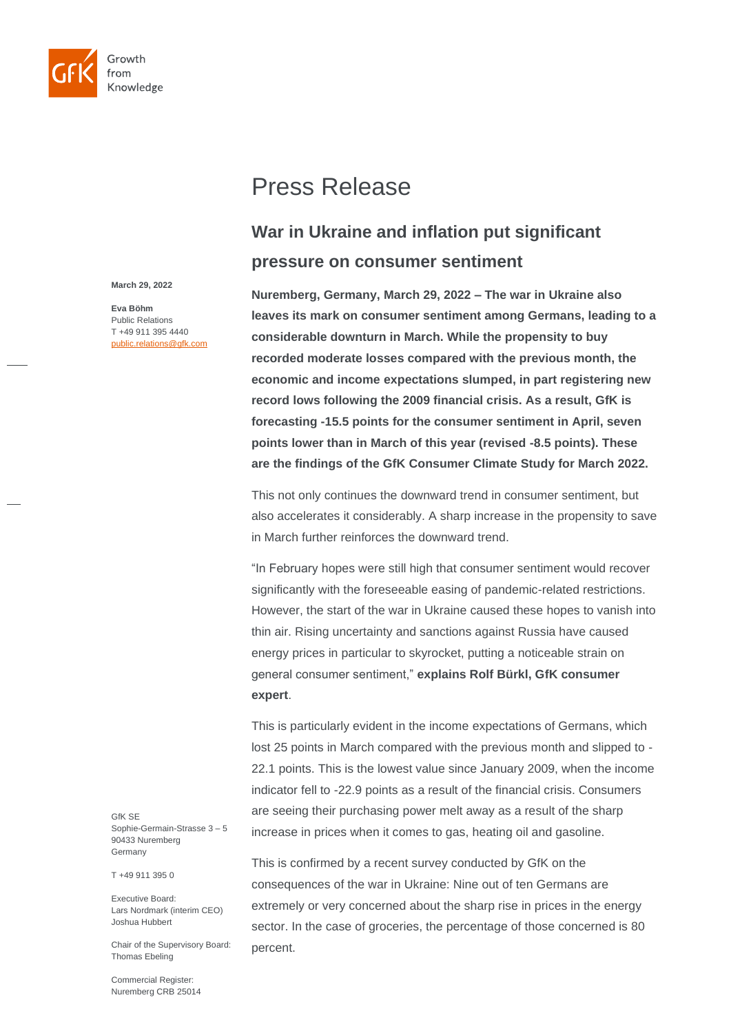

Press Release

# **War in Ukraine and inflation put significant pressure on consumer sentiment**

**Nuremberg, Germany, March 29, 2022** *–* **The war in Ukraine also leaves its mark on consumer sentiment among Germans, leading to a considerable downturn in March. While the propensity to buy recorded moderate losses compared with the previous month, the economic and income expectations slumped, in part registering new record lows following the 2009 financial crisis. As a result, GfK is forecasting -15.5 points for the consumer sentiment in April, seven points lower than in March of this year (revised -8.5 points). These are the findings of the GfK Consumer Climate Study for March 2022.**

This not only continues the downward trend in consumer sentiment, but also accelerates it considerably. A sharp increase in the propensity to save in March further reinforces the downward trend.

"In February hopes were still high that consumer sentiment would recover significantly with the foreseeable easing of pandemic-related restrictions. However, the start of the war in Ukraine caused these hopes to vanish into thin air. Rising uncertainty and sanctions against Russia have caused energy prices in particular to skyrocket, putting a noticeable strain on general consumer sentiment," **explains Rolf Bürkl, GfK consumer expert**.

This is particularly evident in the income expectations of Germans, which lost 25 points in March compared with the previous month and slipped to - 22.1 points. This is the lowest value since January 2009, when the income indicator fell to -22.9 points as a result of the financial crisis. Consumers are seeing their purchasing power melt away as a result of the sharp increase in prices when it comes to gas, heating oil and gasoline.

This is confirmed by a recent survey conducted by GfK on the consequences of the war in Ukraine: Nine out of ten Germans are extremely or very concerned about the sharp rise in prices in the energy sector. In the case of groceries, the percentage of those concerned is 80 percent.

**March 29, 2022**

**Eva Böhm** Public Relations T +49 911 395 4440 public.relations@gfk.com

GfK SE Sophie-Germain-Strasse 3 – 5 90433 Nuremberg Germany

T +49 911 395 0

Executive Board: Lars Nordmark (interim CEO) Joshua Hubbert

Chair of the Supervisory Board: Thomas Ebeling

Commercial Register: Nuremberg CRB 25014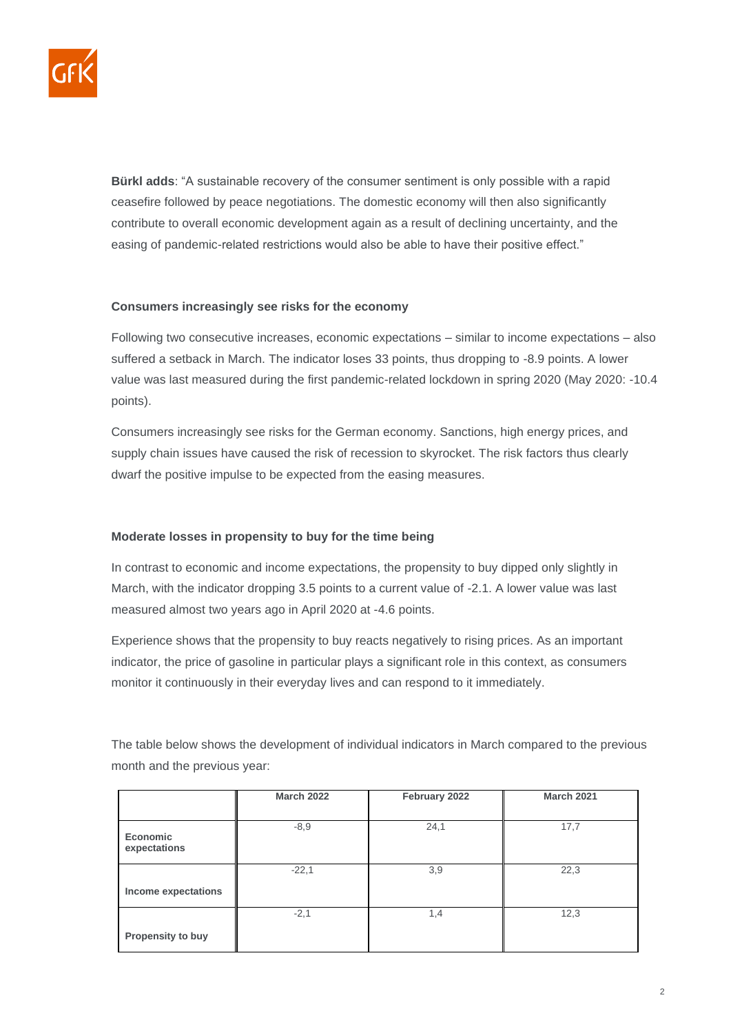

**Bürkl adds**: "A sustainable recovery of the consumer sentiment is only possible with a rapid ceasefire followed by peace negotiations. The domestic economy will then also significantly contribute to overall economic development again as a result of declining uncertainty, and the easing of pandemic-related restrictions would also be able to have their positive effect."

# **Consumers increasingly see risks for the economy**

Following two consecutive increases, economic expectations – similar to income expectations – also suffered a setback in March. The indicator loses 33 points, thus dropping to -8.9 points. A lower value was last measured during the first pandemic-related lockdown in spring 2020 (May 2020: -10.4 points).

Consumers increasingly see risks for the German economy. Sanctions, high energy prices, and supply chain issues have caused the risk of recession to skyrocket. The risk factors thus clearly dwarf the positive impulse to be expected from the easing measures.

# **Moderate losses in propensity to buy for the time being**

In contrast to economic and income expectations, the propensity to buy dipped only slightly in March, with the indicator dropping 3.5 points to a current value of -2.1. A lower value was last measured almost two years ago in April 2020 at -4.6 points.

Experience shows that the propensity to buy reacts negatively to rising prices. As an important indicator, the price of gasoline in particular plays a significant role in this context, as consumers monitor it continuously in their everyday lives and can respond to it immediately.

The table below shows the development of individual indicators in March compared to the previous month and the previous year:

|                                 | <b>March 2022</b> | February 2022 | <b>March 2021</b> |
|---------------------------------|-------------------|---------------|-------------------|
|                                 |                   |               |                   |
| <b>Economic</b><br>expectations | $-8,9$            | 24,1          | 17,7              |
|                                 | $-22,1$           | 3,9           | 22,3              |
| Income expectations             |                   |               |                   |
|                                 | $-2,1$            | 1,4           | 12,3              |
| Propensity to buy               |                   |               |                   |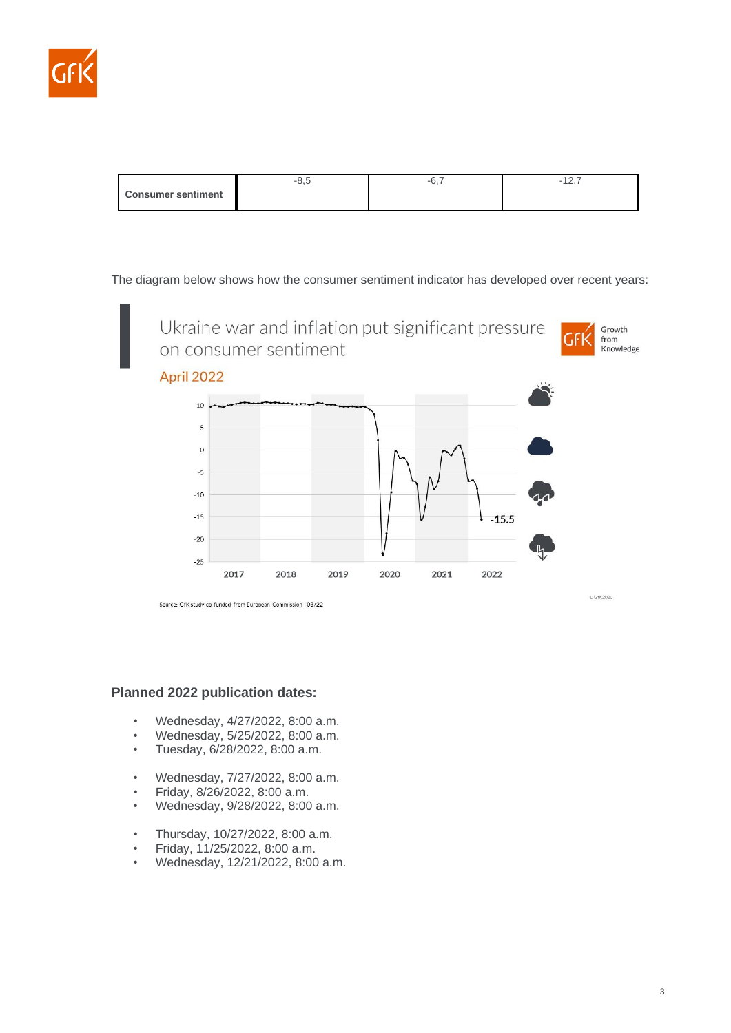

|                           |  | $\epsilon$ and $\epsilon$ |
|---------------------------|--|---------------------------|
| <b>Consumer sentiment</b> |  |                           |

The diagram below shows how the consumer sentiment indicator has developed over recent years:



Source: GfK study co-funded from European Commission | 03/22

# **Planned 2022 publication dates:**

- Wednesday, 4/27/2022, 8:00 a.m.
- Wednesday, 5/25/2022, 8:00 a.m.
- Tuesday, 6/28/2022, 8:00 a.m.
- Wednesday, 7/27/2022, 8:00 a.m.
- Friday, 8/26/2022, 8:00 a.m.
- Wednesday, 9/28/2022, 8:00 a.m.
- Thursday, 10/27/2022, 8:00 a.m.
- Friday, 11/25/2022, 8:00 a.m.
- Wednesday, 12/21/2022, 8:00 a.m.